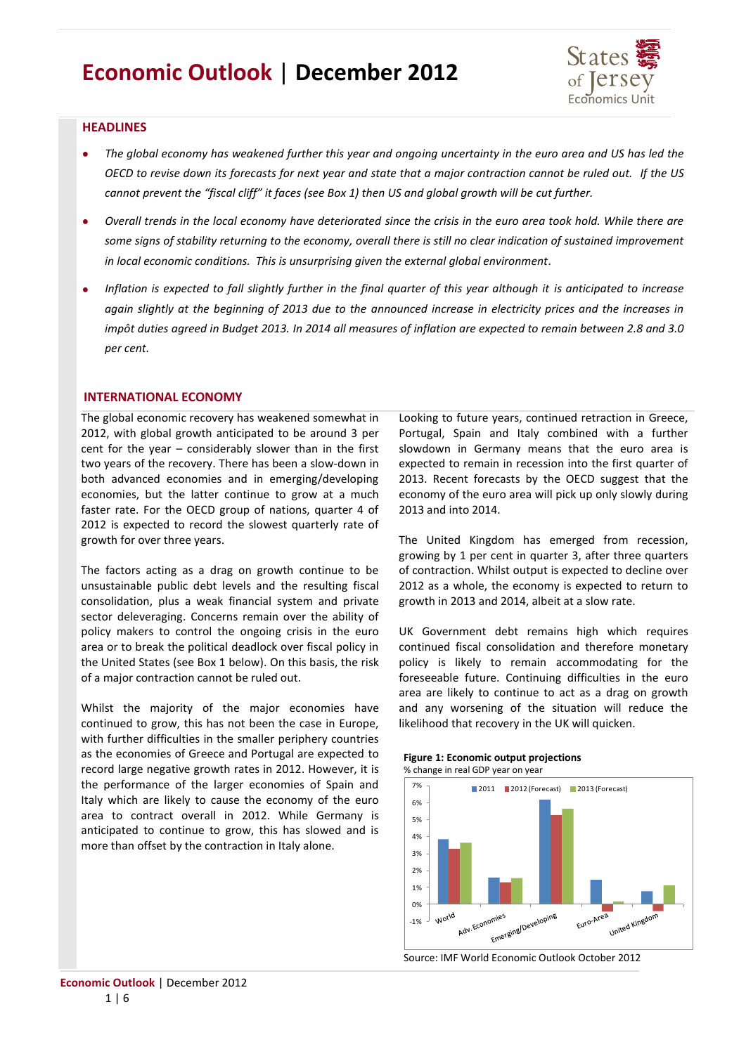# **Economic Outlook** | **December 2012**



## **HEADLINES**

- *The global economy has weakened further this year and ongoing uncertainty in the euro area and US has led the OECD to revise down its forecasts for next year and state that a major contraction cannot be ruled out. If the US cannot prevent the "fiscal cliff" it faces (see Box 1) then US and global growth will be cut further.*
- *Overall trends in the local economy have deteriorated since the crisis in the euro area took hold. While there are some signs of stability returning to the economy, overall there is still no clear indication of sustained improvement in local economic conditions. This is unsurprising given the external global environment.*
- *Inflation is expected to fall slightly further in the final quarter of this year although it is anticipated to increase*   $\bullet$ *again slightly at the beginning of 2013 due to the announced increase in electricity prices and the increases in impôt duties agreed in Budget 2013. In 2014 all measures of inflation are expected to remain between 2.8 and 3.0 per cent.*

## **INTERNATIONAL ECONOMY**

The global economic recovery has weakened somewhat in 2012, with global growth anticipated to be around 3 per cent for the year – considerably slower than in the first two years of the recovery. There has been a slow-down in both advanced economies and in emerging/developing economies, but the latter continue to grow at a much faster rate. For the OECD group of nations, quarter 4 of 2012 is expected to record the slowest quarterly rate of growth for over three years.

The factors acting as a drag on growth continue to be unsustainable public debt levels and the resulting fiscal consolidation, plus a weak financial system and private sector deleveraging. Concerns remain over the ability of policy makers to control the ongoing crisis in the euro area or to break the political deadlock over fiscal policy in the United States (see Box 1 below). On this basis, the risk of a major contraction cannot be ruled out.

Whilst the majority of the major economies have continued to grow, this has not been the case in Europe, with further difficulties in the smaller periphery countries as the economies of Greece and Portugal are expected to record large negative growth rates in 2012. However, it is the performance of the larger economies of Spain and Italy which are likely to cause the economy of the euro area to contract overall in 2012. While Germany is anticipated to continue to grow, this has slowed and is more than offset by the contraction in Italy alone.

Looking to future years, continued retraction in Greece, Portugal, Spain and Italy combined with a further slowdown in Germany means that the euro area is expected to remain in recession into the first quarter of 2013. Recent forecasts by the OECD suggest that the economy of the euro area will pick up only slowly during 2013 and into 2014.

The United Kingdom has emerged from recession, growing by 1 per cent in quarter 3, after three quarters of contraction. Whilst output is expected to decline over 2012 as a whole, the economy is expected to return to growth in 2013 and 2014, albeit at a slow rate.

UK Government debt remains high which requires continued fiscal consolidation and therefore monetary policy is likely to remain accommodating for the foreseeable future. Continuing difficulties in the euro area are likely to continue to act as a drag on growth and any worsening of the situation will reduce the likelihood that recovery in the UK will quicken.

#### **Figure 1: Economic output projections** % change in real GDP year on year



Source: IMF World Economic Outlook October 2012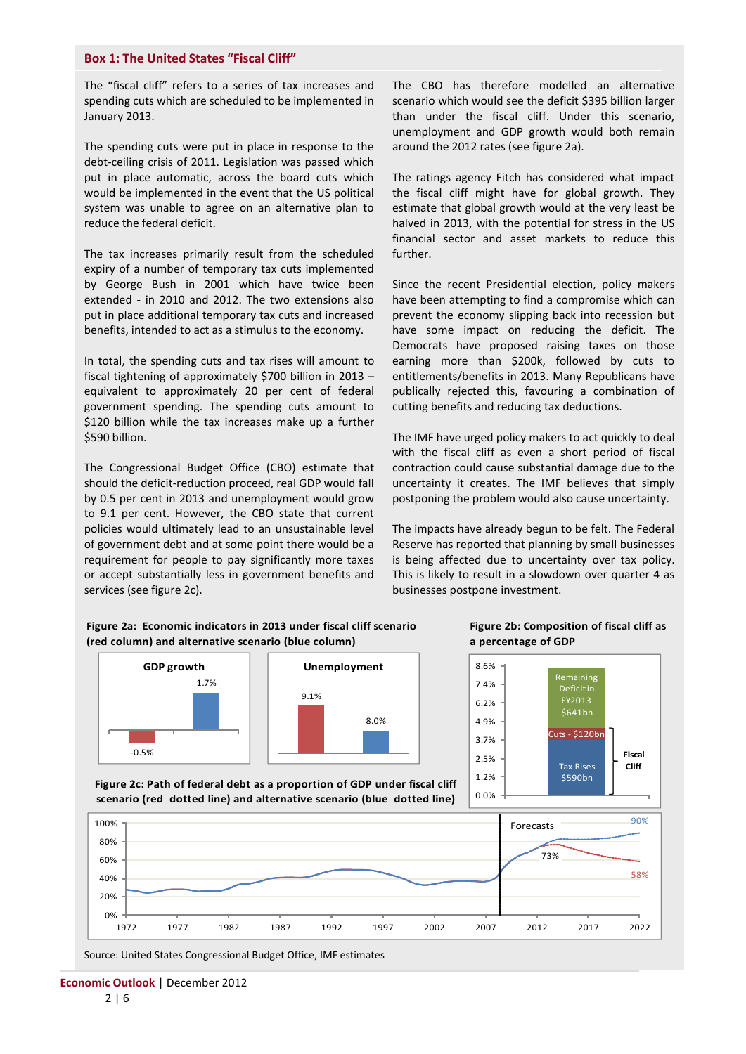## **Box 1: The United States "Fiscal Cliff"**

The "fiscal cliff" refers to a series of tax increases and spending cuts which are scheduled to be implemented in January 2013.

The spending cuts were put in place in response to the debt-ceiling crisis of 2011. Legislation was passed which put in place automatic, across the board cuts which would be implemented in the event that the US political system was unable to agree on an alternative plan to reduce the federal deficit.

The tax increases primarily result from the scheduled expiry of a number of temporary tax cuts implemented by George Bush in 2001 which have twice been extended - in 2010 and 2012. The two extensions also put in place additional temporary tax cuts and increased benefits, intended to act as a stimulus to the economy.

In total, the spending cuts and tax rises will amount to fiscal tightening of approximately \$700 billion in 2013 – equivalent to approximately 20 per cent of federal government spending. The spending cuts amount to \$120 billion while the tax increases make up a further \$590 billion.

The Congressional Budget Office (CBO) estimate that should the deficit-reduction proceed, real GDP would fall by 0.5 per cent in 2013 and unemployment would grow to 9.1 per cent. However, the CBO state that current policies would ultimately lead to an unsustainable level of government debt and at some point there would be a requirement for people to pay significantly more taxes or accept substantially less in government benefits and services (see figure 2c).

The CBO has therefore modelled an alternative scenario which would see the deficit \$395 billion larger than under the fiscal cliff. Under this scenario, unemployment and GDP growth would both remain around the 2012 rates (see figure 2a).

The ratings agency Fitch has considered what impact the fiscal cliff might have for global growth. They estimate that global growth would at the very least be halved in 2013, with the potential for stress in the US financial sector and asset markets to reduce this further.

Since the recent Presidential election, policy makers have been attempting to find a compromise which can prevent the economy slipping back into recession but have some impact on reducing the deficit. The Democrats have proposed raising taxes on those earning more than \$200k, followed by cuts to entitlements/benefits in 2013. Many Republicans have publically rejected this, favouring a combination of cutting benefits and reducing tax deductions.

The IMF have urged policy makers to act quickly to deal with the fiscal cliff as even a short period of fiscal contraction could cause substantial damage due to the uncertainty it creates. The IMF believes that simply postponing the problem would also cause uncertainty.

The impacts have already begun to be felt. The Federal Reserve has reported that planning by small businesses is being affected due to uncertainty over tax policy. This is likely to result in a slowdown over quarter 4 as businesses postpone investment.

## **Figure 2a: Economic indicators in 2013 under fiscal cliff scenario (red column) and alternative scenario (blue column)**



**Figure 2c: Path of federal debt as a proportion of GDP under fiscal cliff** 

## **Figure 2b: Composition of fiscal cliff as a percentage of GDP**





Source: United States Congressional Budget Office, IMF estimates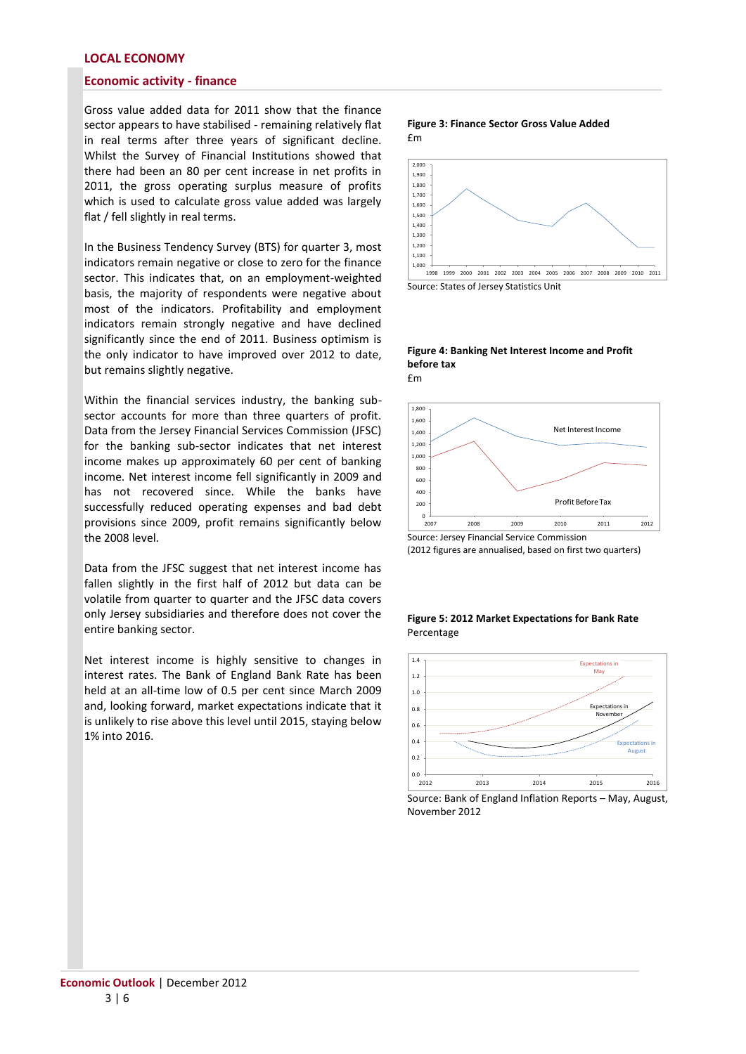## **LOCAL ECONOMY**

## **Economic activity - finance**

Gross value added data for 2011 show that the finance sector appears to have stabilised - remaining relatively flat in real terms after three years of significant decline. Whilst the Survey of Financial Institutions showed that there had been an 80 per cent increase in net profits in 2011, the gross operating surplus measure of profits which is used to calculate gross value added was largely flat / fell slightly in real terms.

In the Business Tendency Survey (BTS) for quarter 3, most indicators remain negative or close to zero for the finance sector. This indicates that, on an employment-weighted basis, the majority of respondents were negative about most of the indicators. Profitability and employment indicators remain strongly negative and have declined significantly since the end of 2011. Business optimism is the only indicator to have improved over 2012 to date, but remains slightly negative.

Within the financial services industry, the banking subsector accounts for more than three quarters of profit. Data from the Jersey Financial Services Commission (JFSC) for the banking sub-sector indicates that net interest income makes up approximately 60 per cent of banking income. Net interest income fell significantly in 2009 and has not recovered since. While the banks have successfully reduced operating expenses and bad debt provisions since 2009, profit remains significantly below the 2008 level.

Data from the JFSC suggest that net interest income has fallen slightly in the first half of 2012 but data can be volatile from quarter to quarter and the JFSC data covers only Jersey subsidiaries and therefore does not cover the entire banking sector.

Net interest income is highly sensitive to changes in interest rates. The Bank of England Bank Rate has been held at an all-time low of 0.5 per cent since March 2009 and, looking forward, market expectations indicate that it is unlikely to rise above this level until 2015, staying below 1% into 2016.

#### **Figure 3: Finance Sector Gross Value Added** £m



Source: States of Jersey Statistics Unit

#### **Figure 4: Banking Net Interest Income and Profit before tax**  £m



(2012 figures are annualised, based on first two quarters)

#### **Figure 5: 2012 Market Expectations for Bank Rate** Percentage



Source: Bank of England Inflation Reports – May, August, November 2012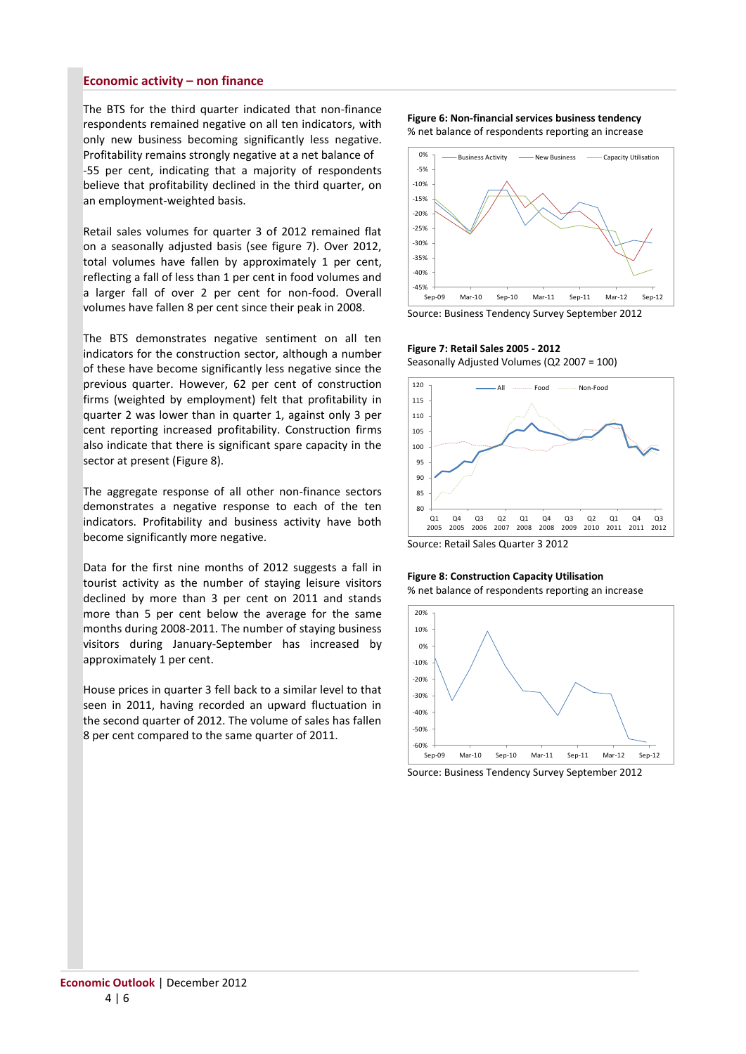## **Economic activity – non finance**

The BTS for the third quarter indicated that non-finance respondents remained negative on all ten indicators, with only new business becoming significantly less negative. Profitability remains strongly negative at a net balance of -55 per cent, indicating that a majority of respondents believe that profitability declined in the third quarter, on an employment-weighted basis.

Retail sales volumes for quarter 3 of 2012 remained flat on a seasonally adjusted basis (see figure 7). Over 2012, total volumes have fallen by approximately 1 per cent, reflecting a fall of less than 1 per cent in food volumes and a larger fall of over 2 per cent for non-food. Overall volumes have fallen 8 per cent since their peak in 2008.

The BTS demonstrates negative sentiment on all ten indicators for the construction sector, although a number of these have become significantly less negative since the previous quarter. However, 62 per cent of construction firms (weighted by employment) felt that profitability in quarter 2 was lower than in quarter 1, against only 3 per cent reporting increased profitability. Construction firms also indicate that there is significant spare capacity in the sector at present (Figure 8).

The aggregate response of all other non-finance sectors demonstrates a negative response to each of the ten indicators. Profitability and business activity have both become significantly more negative.

Data for the first nine months of 2012 suggests a fall in tourist activity as the number of staying leisure visitors declined by more than 3 per cent on 2011 and stands more than 5 per cent below the average for the same months during 2008-2011. The number of staying business visitors during January-September has increased by approximately 1 per cent.

House prices in quarter 3 fell back to a similar level to that seen in 2011, having recorded an upward fluctuation in the second quarter of 2012. The volume of sales has fallen 8 per cent compared to the same quarter of 2011.

#### **Figure 6: Non-financial services business tendency** % net balance of respondents reporting an increase



Source: Business Tendency Survey September 2012

## **Figure 7: Retail Sales 2005 - 2012**

Seasonally Adjusted Volumes (Q2 2007 = 100)



Source: Retail Sales Quarter 3 2012

# **Figure 8: Construction Capacity Utilisation**

% net balance of respondents reporting an increase



Source: Business Tendency Survey September 2012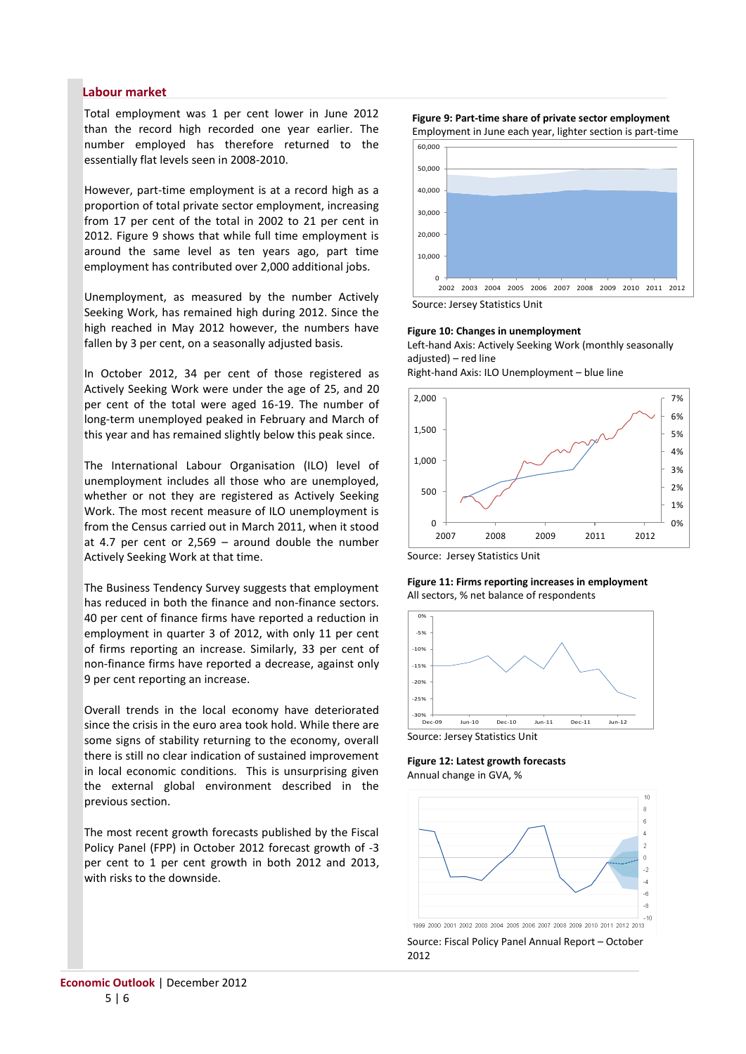## **Labour market**

Total employment was 1 per cent lower in June 2012 than the record high recorded one year earlier. The number employed has therefore returned to the essentially flat levels seen in 2008-2010.

However, part-time employment is at a record high as a proportion of total private sector employment, increasing from 17 per cent of the total in 2002 to 21 per cent in 2012. Figure 9 shows that while full time employment is around the same level as ten years ago, part time employment has contributed over 2,000 additional jobs.

Unemployment, as measured by the number Actively Seeking Work, has remained high during 2012. Since the high reached in May 2012 however, the numbers have fallen by 3 per cent, on a seasonally adjusted basis.

In October 2012, 34 per cent of those registered as Actively Seeking Work were under the age of 25, and 20 per cent of the total were aged 16-19. The number of long-term unemployed peaked in February and March of this year and has remained slightly below this peak since.

The International Labour Organisation (ILO) level of unemployment includes all those who are unemployed, whether or not they are registered as Actively Seeking Work. The most recent measure of ILO unemployment is from the Census carried out in March 2011, when it stood at 4.7 per cent or 2,569 – around double the number Actively Seeking Work at that time.

The Business Tendency Survey suggests that employment has reduced in both the finance and non-finance sectors. 40 per cent of finance firms have reported a reduction in employment in quarter 3 of 2012, with only 11 per cent of firms reporting an increase. Similarly, 33 per cent of non-finance firms have reported a decrease, against only 9 per cent reporting an increase.

Overall trends in the local economy have deteriorated since the crisis in the euro area took hold. While there are some signs of stability returning to the economy, overall there is still no clear indication of sustained improvement in local economic conditions. This is unsurprising given the external global environment described in the previous section.

The most recent growth forecasts published by the Fiscal Policy Panel (FPP) in October 2012 forecast growth of -3 per cent to 1 per cent growth in both 2012 and 2013, with risks to the downside.







Source: Jersey Statistics Unit

#### **Figure 10: Changes in unemployment**

Left-hand Axis: Actively Seeking Work (monthly seasonally adiusted) – red line

Right-hand Axis: ILO Unemployment – blue line



Source: Jersey Statistics Unit





Source: Jersey Statistics Unit

**Figure 12: Latest growth forecasts** Annual change in GVA, %



Source: Fiscal Policy Panel Annual Report – October 2012